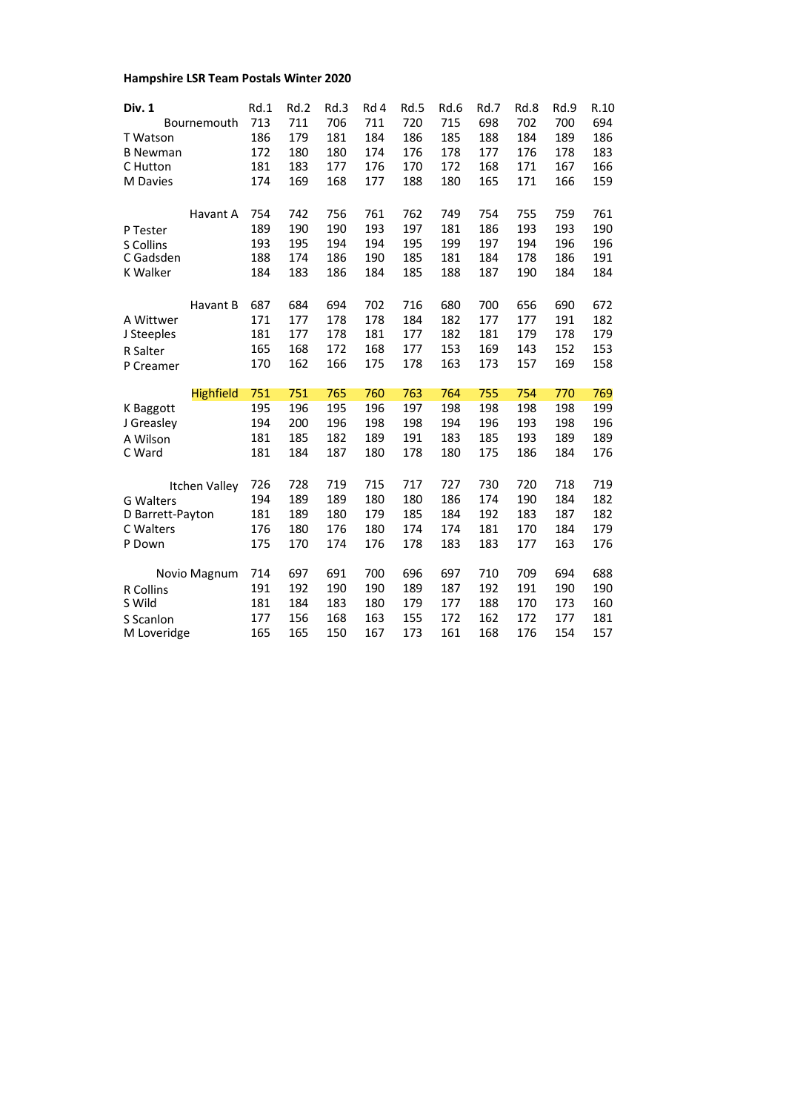## **Hampshire LSR Team Postals Winter 2020**

| Div. 1                            | Rd.1       | Rd.2       | Rd.3       | Rd 4       | Rd.5       | Rd.6       | Rd.7       | Rd.8       | Rd.9       | R.10       |
|-----------------------------------|------------|------------|------------|------------|------------|------------|------------|------------|------------|------------|
| Bournemouth                       | 713        | 711        | 706        | 711        | 720        | 715        | 698        | 702        | 700        | 694        |
| T Watson<br><b>B Newman</b>       | 186<br>172 | 179<br>180 | 181<br>180 | 184<br>174 | 186<br>176 | 185<br>178 | 188<br>177 | 184<br>176 | 189<br>178 | 186<br>183 |
| C Hutton                          | 181        | 183        | 177        | 176        | 170        | 172        | 168        | 171        | 167        | 166        |
| M Davies                          | 174        | 169        | 168        | 177        | 188        | 180        | 165        | 171        | 166        | 159        |
|                                   |            |            |            |            |            |            |            |            |            |            |
| Havant A                          | 754        | 742        | 756        | 761        | 762        | 749        | 754        | 755        | 759        | 761        |
| P Tester                          | 189        | 190        | 190        | 193        | 197        | 181        | 186        | 193        | 193        | 190        |
| S Collins                         | 193        | 195        | 194        | 194        | 195        | 199        | 197        | 194        | 196        | 196        |
| C Gadsden                         | 188        | 174        | 186        | 190        | 185        | 181        | 184        | 178        | 186        | 191        |
| <b>K Walker</b>                   | 184        | 183        | 186        | 184        | 185        | 188        | 187        | 190        | 184        | 184        |
| Havant B                          | 687        | 684        | 694        | 702        | 716        | 680        | 700        | 656        | 690        | 672        |
| A Wittwer                         | 171        | 177        | 178        | 178        | 184        | 182        | 177        | 177        | 191        | 182        |
| J Steeples                        | 181        | 177        | 178        | 181        | 177        | 182        | 181        | 179        | 178        | 179        |
| <b>R</b> Salter                   | 165        | 168        | 172        | 168        | 177        | 153        | 169        | 143        | 152        | 153        |
| P Creamer                         | 170        | 162        | 166        | 175        | 178        | 163        | 173        | 157        | 169        | 158        |
|                                   |            |            |            |            |            |            |            |            |            |            |
| <b>Highfield</b>                  | 751        | 751        | 765        | 760        | 763        | 764        | 755        | 754        | 770        | 769        |
| K Baggott                         | 195        | 196        | 195        | 196        | 197        | 198        | 198        | 198        | 198        | 199        |
| J Greasley                        | 194        | 200        | 196        | 198        | 198        | 194        | 196        | 193        | 198        | 196        |
| A Wilson                          | 181        | 185        | 182        | 189        | 191        | 183        | 185        | 193        | 189        | 189        |
| C Ward                            | 181        | 184        | 187        | 180        | 178        | 180        | 175        | 186        | 184        | 176        |
|                                   | 726        | 728        | 719        | 715        | 717        | 727        | 730        | 720        | 718        | 719        |
| Itchen Valley<br><b>G</b> Walters | 194        | 189        | 189        | 180        | 180        | 186        | 174        | 190        | 184        | 182        |
| D Barrett-Payton                  | 181        | 189        | 180        | 179        | 185        | 184        | 192        | 183        | 187        | 182        |
| C Walters                         | 176        | 180        | 176        | 180        | 174        | 174        | 181        | 170        | 184        | 179        |
| P Down                            | 175        | 170        | 174        | 176        | 178        | 183        | 183        | 177        | 163        | 176        |
|                                   |            |            |            |            |            |            |            |            | 694        |            |
| Novio Magnum                      | 714<br>191 | 697<br>192 | 691<br>190 | 700<br>190 | 696<br>189 | 697<br>187 | 710<br>192 | 709<br>191 | 190        | 688<br>190 |
| <b>R</b> Collins<br>S Wild        | 181        | 184        | 183        | 180        | 179        | 177        | 188        | 170        | 173        | 160        |
|                                   | 177        | 156        | 168        | 163        | 155        | 172        | 162        | 172        | 177        | 181        |
| S Scanlon<br>M Loveridge          | 165        | 165        | 150        | 167        | 173        | 161        | 168        | 176        | 154        | 157        |
|                                   |            |            |            |            |            |            |            |            |            |            |